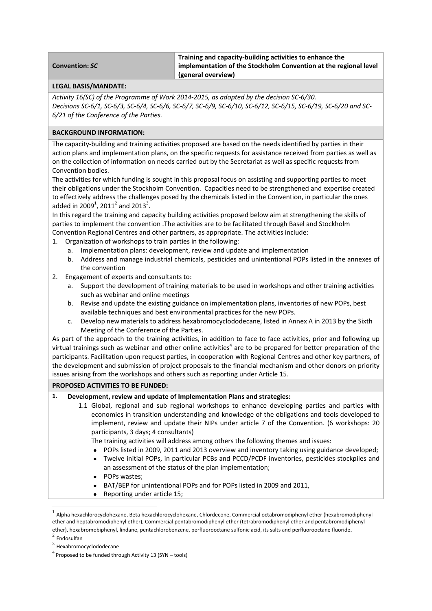#### **Convention:** *SC*

**Training and capacity‐building activities to enhance the implementation of the Stockholm Convention at the regional level (general overview)**

#### **LEGAL BASIS/MANDATE:**

*Activity 16(SC) of the Programme of Work 2014‐2015, as adopted by the decision SC‐6/30.* Decisions SC-6/1, SC-6/3, SC-6/4, SC-6/6, SC-6/7, SC-6/9, SC-6/10, SC-6/12, SC-6/15, SC-6/19, SC-6/20 and SC-*6/21 of the Conference of the Parties.* 

# **BACKGROUND INFORMATION:**

The capacity‐building and training activities proposed are based on the needs identified by parties in their action plans and implementation plans, on the specific requests for assistance received from parties as well as on the collection of information on needs carried out by the Secretariat as well as specific requests from Convention bodies.

The activities for which funding is sought in this proposal focus on assisting and supporting parties to meet their obligations under the Stockholm Convention. Capacities need to be strengthened and expertise created to effectively address the challenges posed by the chemicals listed in the Convention, in particular the ones added in 2009<sup>1</sup>, 2011<sup>2</sup> and 2013<sup>3</sup>.

In this regard the training and capacity building activities proposed below aim at strengthening the skills of parties to implement the convention .The activities are to be facilitated through Basel and Stockholm Convention Regional Centres and other partners, as appropriate. The activities include:

- 1. Organization of workshops to train parties in the following:
	- a. Implementation plans: development, review and update and implementation
	- b. Address and manage industrial chemicals, pesticides and unintentional POPs listed in the annexes of the convention
- 2. Engagement of experts and consultants to:
	- a. Support the development of training materials to be used in workshops and other training activities such as webinar and online meetings
	- b. Revise and update the existing guidance on implementation plans, inventories of new POPs, best available techniques and best environmental practices for the new POPs.
	- c. Develop new materials to address hexabromocyclododecane, listed in Annex A in 2013 by the Sixth Meeting of the Conference of the Parties.

As part of the approach to the training activities, in addition to face to face activities, prior and following up virtual trainings such as webinar and other online activities<sup>4</sup> are to be prepared for better preparation of the participants. Facilitation upon request parties, in cooperation with Regional Centres and other key partners, of the development and submission of project proposals to the financial mechanism and other donors on priority issues arising from the workshops and others such as reporting under Article 15.

## **PROPOSED ACTIVITIES TO BE FUNDED:**

## **1. Development, review and update of Implementation Plans and strategies:**

1.1 Global, regional and sub regional workshops to enhance developing parties and parties with economies in transition understanding and knowledge of the obligations and tools developed to implement, review and update their NIPs under article 7 of the Convention. (6 workshops: 20 participants, 3 days; 4 consultants)

The training activities will address among others the following themes and issues:

- POPs listed in 2009, 2011 and 2013 overview and inventory taking using guidance developed;
- Twelve initial POPs, in particular PCBs and PCCD/PCDF inventories, pesticides stockpiles and an assessment of the status of the plan implementation;
- POPs wastes;

- BAT/BEP for unintentional POPs and for POPs listed in 2009 and 2011,
- Reporting under article 15;

 $<sup>1</sup>$  Alpha hexachlorocyclohexane, Beta hexachlorocyclohexane, Chlordecone, Commercial octabromodiphenyl ether (hexabromodiphenyl</sup> ether and heptabromodiphenyl ether), Commercial pentabromodiphenyl ether (tetrabromodiphenyl ether and pentabromodiphenyl ether), hexabromobiphenyl, lindane, pentachlorobenzene, perfluorooctane sulfonic acid, its salts and perfluorooctane fluoride.<br><sup>2</sup> Endosulfan

 $3$  Hexabromocyclododecane

 $4$  Proposed to be funded through Activity 13 (SYN – tools)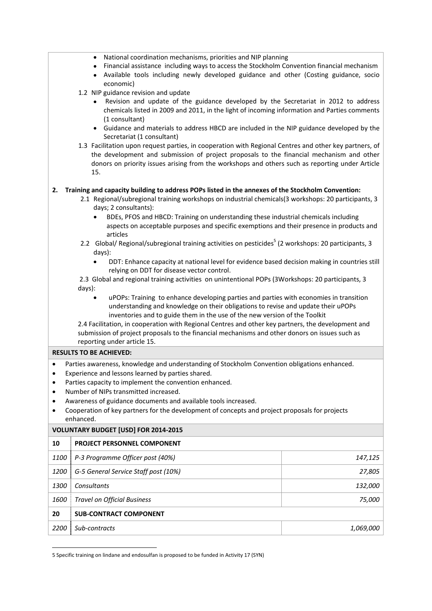- National coordination mechanisms, priorities and NIP planning
- Financial assistance including ways to access the Stockholm Convention financial mechanism
- Available tools including newly developed guidance and other (Costing guidance, socio economic)
- 1.2 NIP guidance revision and update
	- Revision and update of the guidance developed by the Secretariat in 2012 to address chemicals listed in 2009 and 2011, in the light of incoming information and Parties comments (1 consultant)
	- Guidance and materials to address HBCD are included in the NIP guidance developed by the Secretariat (1 consultant)
- 1.3 Facilitation upon request parties, in cooperation with Regional Centres and other key partners, of the development and submission of project proposals to the financial mechanism and other donors on priority issues arising from the workshops and others such as reporting under Article 15.

## **2. Training and capacity building to address POPs listed in the annexes of the Stockholm Convention:**

- 2.1 Regional/subregional training workshops on industrial chemicals(3 workshops: 20 participants, 3 days; 2 consultants):
	- BDEs, PFOS and HBCD: Training on understanding these industrial chemicals including aspects on acceptable purposes and specific exemptions and their presence in products and articles
- 2.2 Global/ Regional/subregional training activities on pesticides<sup>5</sup> (2 workshops: 20 participants, 3 days):
	- DDT: Enhance capacity at national level for evidence based decision making in countries still relying on DDT for disease vector control.

2.3 Global and regional training activities on unintentional POPs (3Workshops: 20 participants, 3 days):

 uPOPs: Training to enhance developing parties and parties with economies in transition understanding and knowledge on their obligations to revise and update their uPOPs inventories and to guide them in the use of the new version of the Toolkit

2.4 Facilitation, in cooperation with Regional Centres and other key partners, the development and submission of project proposals to the financial mechanisms and other donors on issues such as reporting under article 15.

## **RESULTS TO BE ACHIEVED:**

- Parties awareness, knowledge and understanding of Stockholm Convention obligations enhanced.
- Experience and lessons learned by parties shared.
- Parties capacity to implement the convention enhanced.
- Number of NIPs transmitted increased.

- Awareness of guidance documents and available tools increased.
- Cooperation of key partners for the development of concepts and project proposals for projects enhanced.

**VOLUNTARY BUDGET [USD] FOR 2014‐2015 PROJECT PERSONNEL COMPONENT** *P‐3 Programme Officer post (40%) 147,125 G‐5 General Service Staff post (10%) 27,805 Consultants 132,000 Travel on Official Business 75,000* **SUB‐CONTRACT COMPONENT** *Sub‐contracts 1,069,000*

<sup>5</sup> Specific training on lindane and endosulfan is proposed to be funded in Activity 17 (SYN)